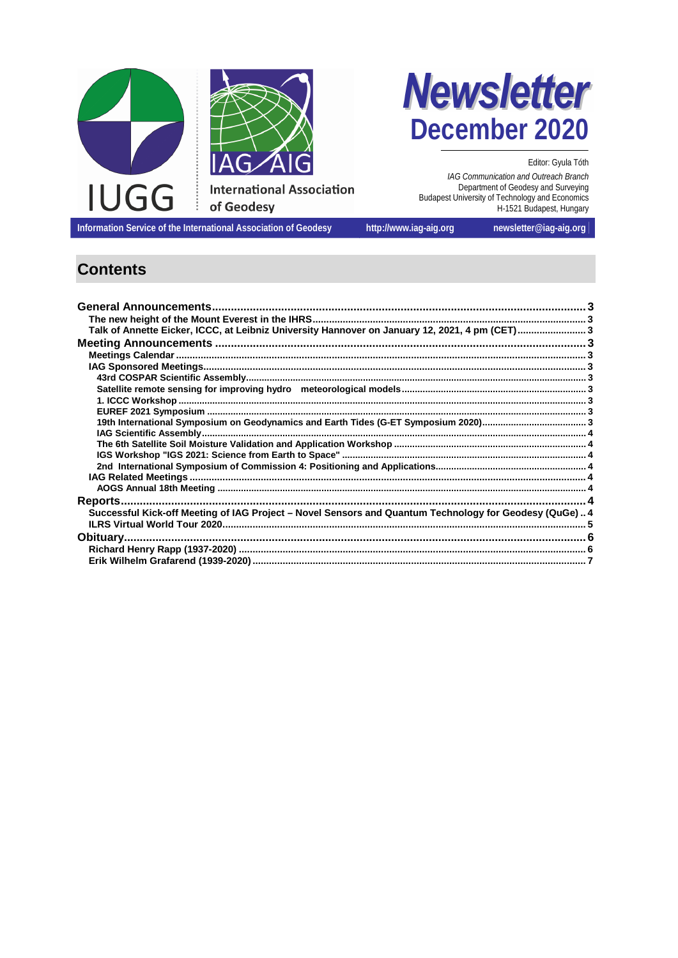



Editor: Gyula Tóth

IAG Communication and Outreach Branch<br>Department of Geodesy and Surveying Budapest University of Technology and Economics<br>H-1521 Budapest, Hungary

Information Service of the International Association of Geodesy

http://www.iag-aig.org

newsletter@iag-aig.org

# **Contents**

| Talk of Annette Eicker, ICCC, at Leibniz University Hannover on January 12, 2021, 4 pm (CET) 3          |  |
|---------------------------------------------------------------------------------------------------------|--|
|                                                                                                         |  |
|                                                                                                         |  |
|                                                                                                         |  |
|                                                                                                         |  |
|                                                                                                         |  |
|                                                                                                         |  |
|                                                                                                         |  |
|                                                                                                         |  |
|                                                                                                         |  |
|                                                                                                         |  |
|                                                                                                         |  |
|                                                                                                         |  |
|                                                                                                         |  |
|                                                                                                         |  |
|                                                                                                         |  |
| Successful Kick-off Meeting of IAG Project - Novel Sensors and Quantum Technology for Geodesy (QuGe)  4 |  |
|                                                                                                         |  |
|                                                                                                         |  |
|                                                                                                         |  |
|                                                                                                         |  |
|                                                                                                         |  |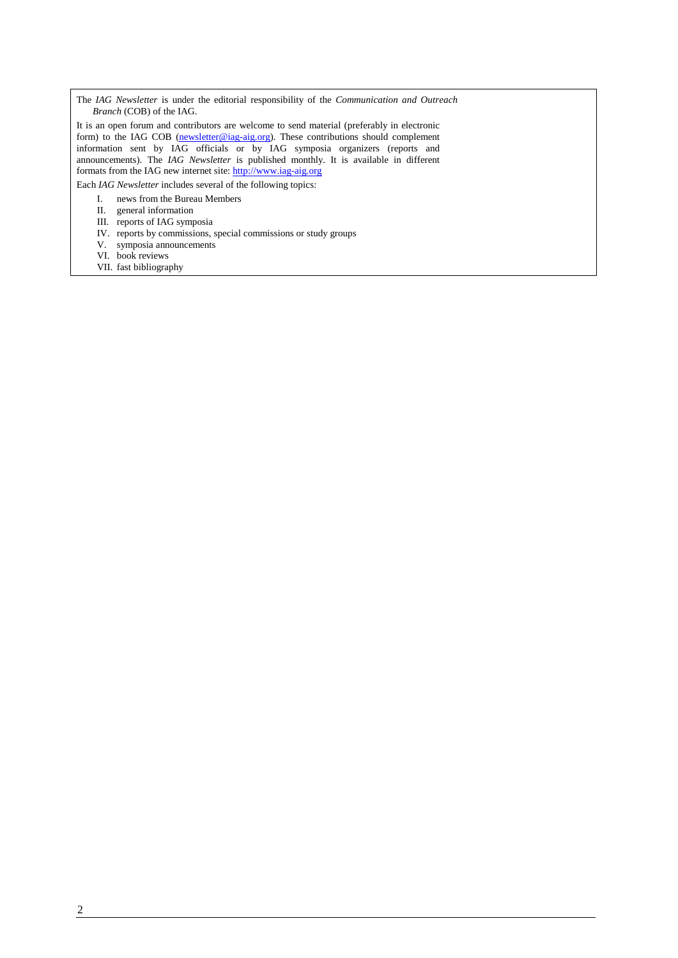The *IAG Newsletter* is under the editorial responsibility of the *Communication and Outreach Branch* (COB) of the IAG.

It is an open forum and contributors are welcome to send material (preferably in electronic form) to the IAG COB (newsletter@iag-aig.org). These contributions should complement information sent by IAG officials or by IAG symposia organizers (reports and announcements). The *IAG Newsletter* is published monthly. It is available in different formats from the IAG new internet site: http://www.iag-aig.org

Each *IAG Newsletter* includes several of the following topics:

I. news from the Bureau Members

- II. general information
- III. reports of IAG symposia
- IV. reports by commissions, special commissions or study groups
- V. symposia announcements
- VI. book reviews
- VII. fast bibliography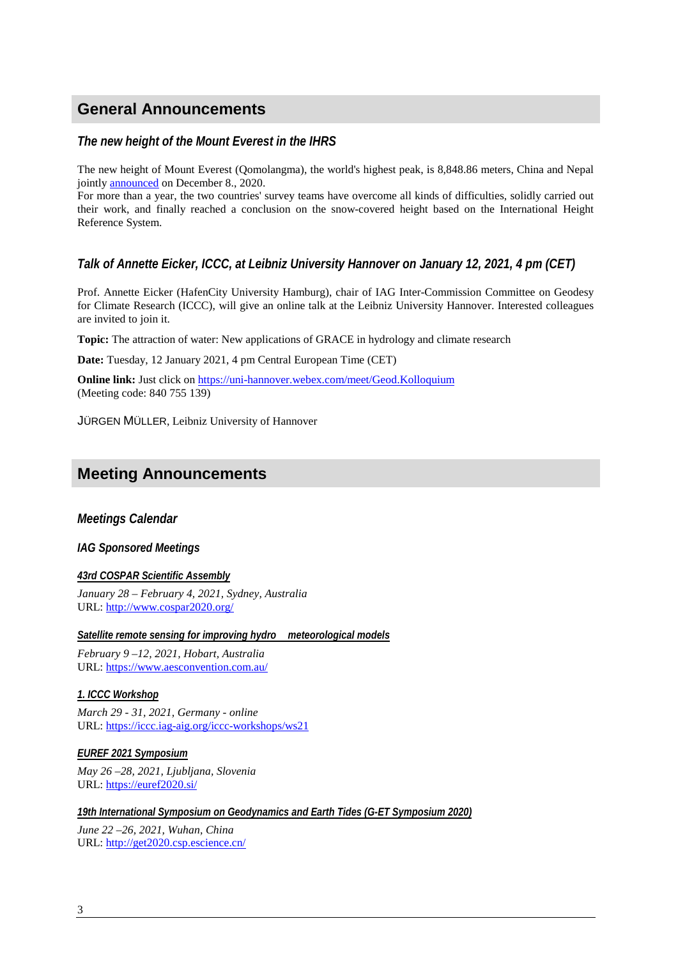# **General Announcements**

### *The new height of the Mount Everest in the IHRS*

The new height of Mount Everest (Qomolangma), the world's highest peak, is 8,848.86 meters, China and Nepal jointly announced on December 8., 2020.

For more than a year, the two countries' survey teams have overcome all kinds of difficulties, solidly carried out their work, and finally reached a conclusion on the snow-covered height based on the International Height Reference System.

*Talk of Annette Eicker, ICCC, at Leibniz University Hannover on January 12, 2021, 4 pm (CET)*

Prof. Annette Eicker (HafenCity University Hamburg), chair of IAG Inter-Commission Committee on Geodesy for Climate Research (ICCC), will give an online talk at the Leibniz University Hannover. Interested colleagues are invited to join it.

**Topic:** The attraction of water: New applications of GRACE in hydrology and climate research

**Date:** Tuesday, 12 January 2021, 4 pm Central European Time (CET)

**Online link:** Just click on https://uni-hannover.webex.com/meet/Geod.Kolloquium (Meeting code: 840 755 139)

JÜRGEN MÜLLER, Leibniz University of Hannover

# **Meeting Announcements**

*Meetings Calendar*

*IAG Sponsored Meetings*

*43rd COSPAR Scientific Assembly January 28 – February 4, 2021, Sydney, Australia* URL: http://www.cospar2020.org/

*Satellite remote sensing for improving hydro*<sup>ë</sup> *meteorological models*

*February 9 –12, 2021, Hobart, Australia* URL: https://www.aesconvention.com.au/

*1. ICCC Workshop March 29 - 31, 2021, Germany - online*

URL: https://iccc.iag-aig.org/iccc-workshops/ws21

*EUREF 2021 Symposium May 26 –28, 2021, Ljubljana, Slovenia* URL: https://euref2020.si/

*19th International Symposium on Geodynamics and Earth Tides (G-ET Symposium 2020)*

*June 22 –26, 2021, Wuhan, China* URL: http://get2020.csp.escience.cn/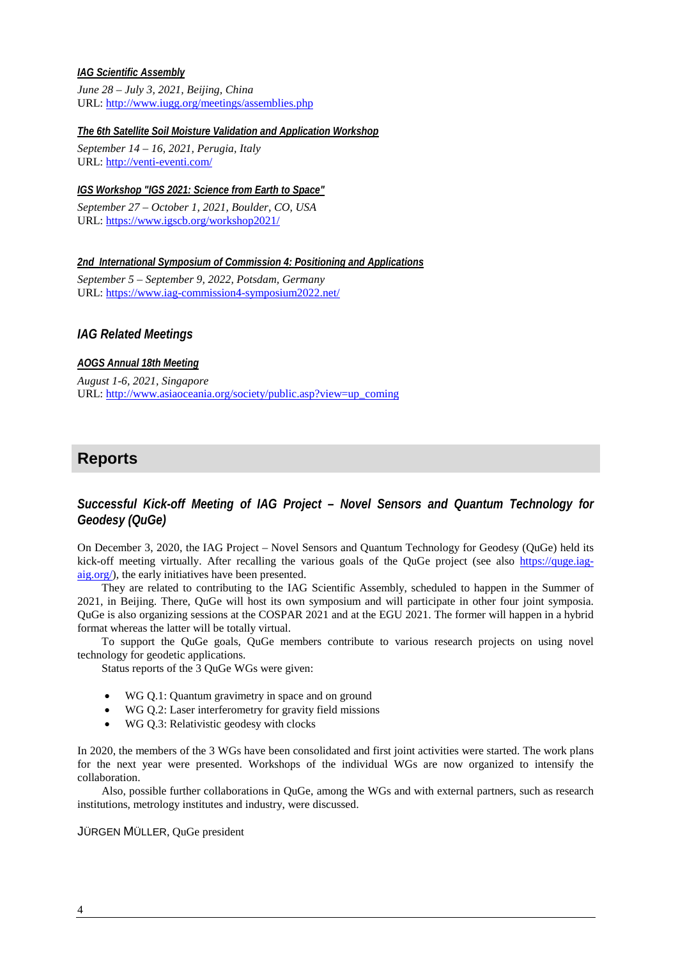### *IAG Scientific Assembly*

*June 28 – July 3, 2021, Beijing, China* URL: http://www.iugg.org/meetings/assemblies.php

*The 6th Satellite Soil Moisture Validation and Application Workshop*

*September 14 – 16, 2021, Perugia, Italy* URL: http://venti-eventi.com/

*IGS Workshop "IGS 2021: Science from Earth to Space"*

*September 27 – October 1, 2021, Boulder, CO, USA* URL: https://www.igscb.org/workshop2021/

*2nd International Symposium of Commission 4: Positioning and Applications September 5 – September 9, 2022, Potsdam, Germany* URL: https://www.iag-commission4-symposium2022.net/

*IAG Related Meetings*

#### *AOGS Annual 18th Meeting*

*August 1-6, 2021, Singapore* URL: http://www.asiaoceania.org/society/public.asp?view=up\_coming

## **Reports**

*Successful Kick-off Meeting of IAG Project – Novel Sensors and Quantum Technology for Geodesy (QuGe)*

On December 3, 2020, the IAG Project – Novel Sensors and Quantum Technology for Geodesy (QuGe) held its kick-off meeting virtually. After recalling the various goals of the QuGe project (see also https://quge.iagaig.org/), the early initiatives have been presented.

They are related to contributing to the IAG Scientific Assembly, scheduled to happen in the Summer of 2021, in Beijing. There, QuGe will host its own symposium and will participate in other four joint symposia. QuGe is also organizing sessions at the COSPAR 2021 and at the EGU 2021. The former will happen in a hybrid format whereas the latter will be totally virtual.

To support the QuGe goals, QuGe members contribute to various research projects on using novel technology for geodetic applications.

Status reports of the 3 QuGe WGs were given:

- WG Q.1: Quantum gravimetry in space and on ground
- · WG Q.2: Laser interferometry for gravity field missions
- WG Q.3: Relativistic geodesy with clocks

In 2020, the members of the 3 WGs have been consolidated and first joint activities were started. The work plans for the next year were presented. Workshops of the individual WGs are now organized to intensify the collaboration.

Also, possible further collaborations in QuGe, among the WGs and with external partners, such as research institutions, metrology institutes and industry, were discussed.

#### JÜRGEN MÜLLER, QuGe president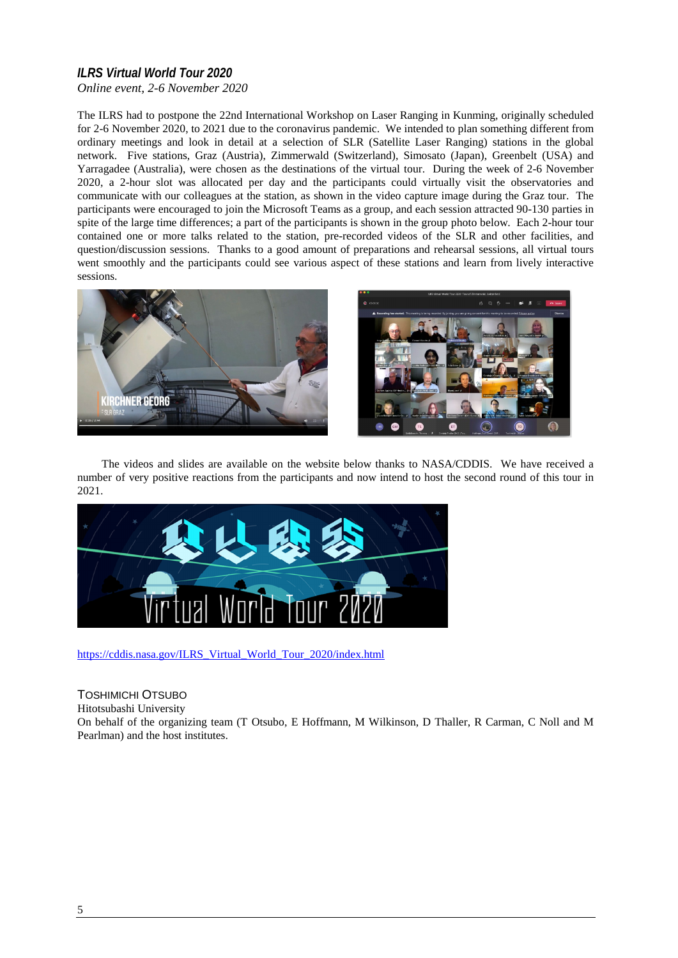## *ILRS Virtual World Tour 2020 Online event, 2-6 November 2020*

The ILRS had to postpone the 22nd International Workshop on Laser Ranging in Kunming, originally scheduled for 2-6 November 2020, to 2021 due to the coronavirus pandemic. We intended to plan something different from ordinary meetings and look in detail at a selection of SLR (Satellite Laser Ranging) stations in the global network. Five stations, Graz (Austria), Zimmerwald (Switzerland), Simosato (Japan), Greenbelt (USA) and Yarragadee (Australia), were chosen as the destinations of the virtual tour. During the week of 2-6 November 2020, a 2-hour slot was allocated per day and the participants could virtually visit the observatories and communicate with our colleagues at the station, as shown in the video capture image during the Graz tour. The participants were encouraged to join the Microsoft Teams as a group, and each session attracted 90-130 parties in spite of the large time differences; a part of the participants is shown in the group photo below. Each 2-hour tour contained one or more talks related to the station, pre-recorded videos of the SLR and other facilities, and question/discussion sessions. Thanks to a good amount of preparations and rehearsal sessions, all virtual tours went smoothly and the participants could see various aspect of these stations and learn from lively interactive sessions.



The videos and slides are available on the website below thanks to NASA/CDDIS. We have received a number of very positive reactions from the participants and now intend to host the second round of this tour in 2021.



https://cddis.nasa.gov/ILRS\_Virtual\_World\_Tour\_2020/index.html

TOSHIMICHI OTSUBO Hitotsubashi University On behalf of the organizing team (T Otsubo, E Hoffmann, M Wilkinson, D Thaller, R Carman, C Noll and M Pearlman) and the host institutes.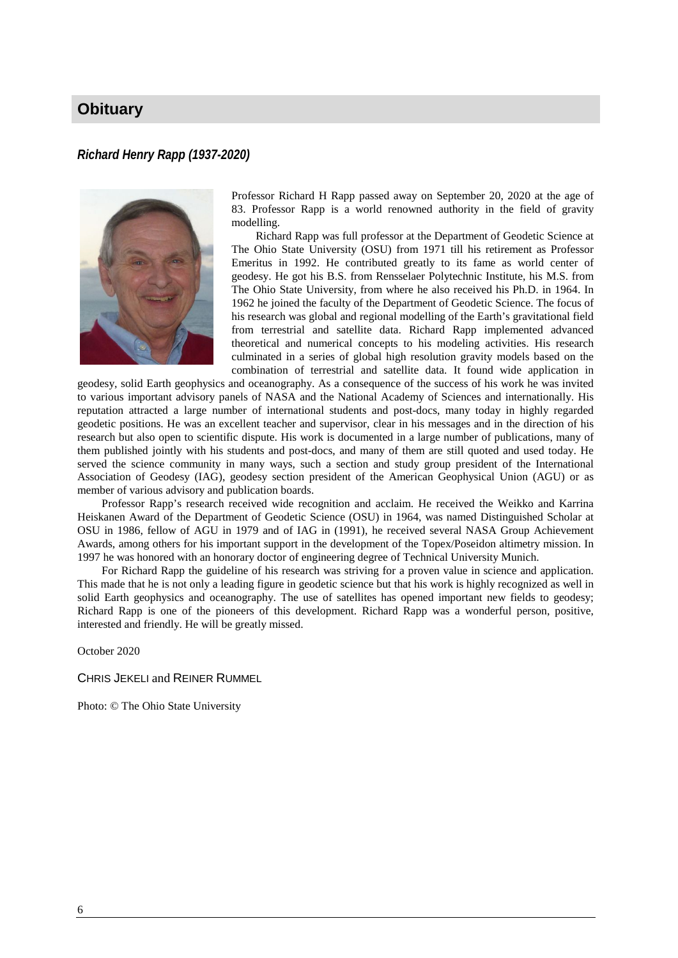# **Obituary**

### *Richard Henry Rapp (1937-2020)*



Professor Richard H Rapp passed away on September 20, 2020 at the age of 83. Professor Rapp is a world renowned authority in the field of gravity modelling.

Richard Rapp was full professor at the Department of Geodetic Science at The Ohio State University (OSU) from 1971 till his retirement as Professor Emeritus in 1992. He contributed greatly to its fame as world center of geodesy. He got his B.S. from Rensselaer Polytechnic Institute, his M.S. from The Ohio State University, from where he also received his Ph.D. in 1964. In 1962 he joined the faculty of the Department of Geodetic Science. The focus of his research was global and regional modelling of the Earth's gravitational field from terrestrial and satellite data. Richard Rapp implemented advanced theoretical and numerical concepts to his modeling activities. His research culminated in a series of global high resolution gravity models based on the combination of terrestrial and satellite data. It found wide application in

geodesy, solid Earth geophysics and oceanography. As a consequence of the success of his work he was invited to various important advisory panels of NASA and the National Academy of Sciences and internationally. His reputation attracted a large number of international students and post-docs, many today in highly regarded geodetic positions. He was an excellent teacher and supervisor, clear in his messages and in the direction of his research but also open to scientific dispute. His work is documented in a large number of publications, many of them published jointly with his students and post-docs, and many of them are still quoted and used today. He served the science community in many ways, such a section and study group president of the International Association of Geodesy (IAG), geodesy section president of the American Geophysical Union (AGU) or as member of various advisory and publication boards.

Professor Rapp's research received wide recognition and acclaim. He received the Weikko and Karrina Heiskanen Award of the Department of Geodetic Science (OSU) in 1964, was named Distinguished Scholar at OSU in 1986, fellow of AGU in 1979 and of IAG in (1991), he received several NASA Group Achievement Awards, among others for his important support in the development of the Topex/Poseidon altimetry mission. In 1997 he was honored with an honorary doctor of engineering degree of Technical University Munich.

For Richard Rapp the guideline of his research was striving for a proven value in science and application. This made that he is not only a leading figure in geodetic science but that his work is highly recognized as well in solid Earth geophysics and oceanography. The use of satellites has opened important new fields to geodesy; Richard Rapp is one of the pioneers of this development. Richard Rapp was a wonderful person, positive, interested and friendly. He will be greatly missed.

October 2020

CHRIS JEKELI and REINER RUMMEL

Photo: © The Ohio State University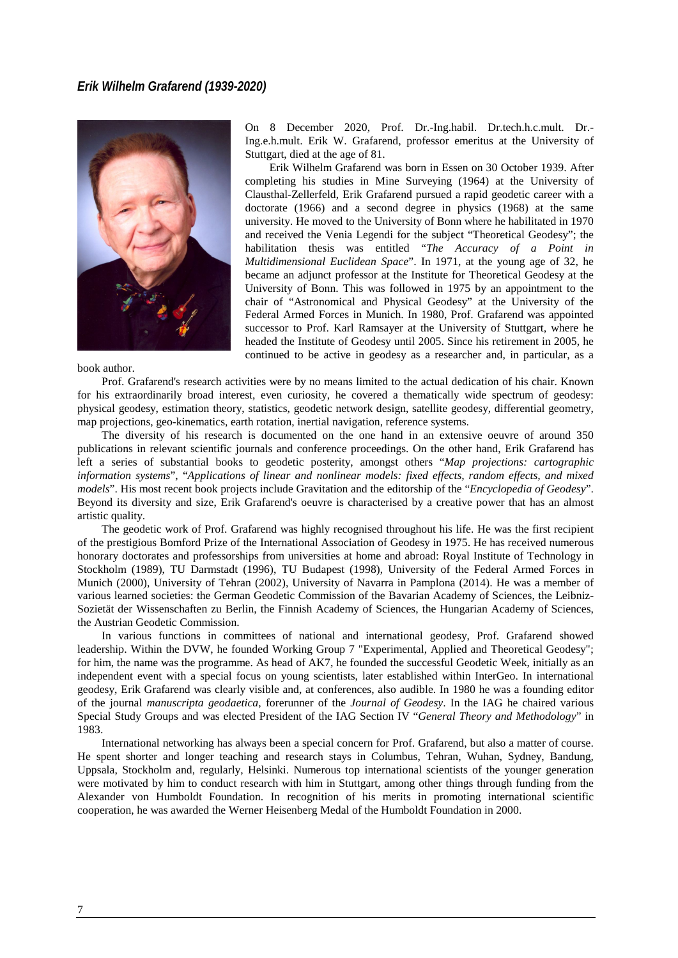### *Erik Wilhelm Grafarend (1939-2020)*



book author.

On 8 December 2020, Prof. Dr.-Ing.habil. Dr.tech.h.c.mult. Dr.- Ing.e.h.mult. Erik W. Grafarend, professor emeritus at the University of Stuttgart, died at the age of 81.

Erik Wilhelm Grafarend was born in Essen on 30 October 1939. After completing his studies in Mine Surveying (1964) at the University of Clausthal-Zellerfeld, Erik Grafarend pursued a rapid geodetic career with a doctorate (1966) and a second degree in physics (1968) at the same university. He moved to the University of Bonn where he habilitated in 1970 and received the Venia Legendi for the subject "Theoretical Geodesy"; the habilitation thesis was entitled "*The Accuracy of a Point in Multidimensional Euclidean Space*". In 1971, at the young age of 32, he became an adjunct professor at the Institute for Theoretical Geodesy at the University of Bonn. This was followed in 1975 by an appointment to the chair of "Astronomical and Physical Geodesy" at the University of the Federal Armed Forces in Munich. In 1980, Prof. Grafarend was appointed successor to Prof. Karl Ramsayer at the University of Stuttgart, where he headed the Institute of Geodesy until 2005. Since his retirement in 2005, he continued to be active in geodesy as a researcher and, in particular, as a

Prof. Grafarend's research activities were by no means limited to the actual dedication of his chair. Known for his extraordinarily broad interest, even curiosity, he covered a thematically wide spectrum of geodesy: physical geodesy, estimation theory, statistics, geodetic network design, satellite geodesy, differential geometry, map projections, geo-kinematics, earth rotation, inertial navigation, reference systems.

The diversity of his research is documented on the one hand in an extensive oeuvre of around 350 publications in relevant scientific journals and conference proceedings. On the other hand, Erik Grafarend has left a series of substantial books to geodetic posterity, amongst others "*Map projections: cartographic information systems*", "*Applications of linear and nonlinear models: fixed effects, random effects, and mixed models*". His most recent book projects include Gravitation and the editorship of the "*Encyclopedia of Geodesy*". Beyond its diversity and size, Erik Grafarend's oeuvre is characterised by a creative power that has an almost artistic quality.

The geodetic work of Prof. Grafarend was highly recognised throughout his life. He was the first recipient of the prestigious Bomford Prize of the International Association of Geodesy in 1975. He has received numerous honorary doctorates and professorships from universities at home and abroad: Royal Institute of Technology in Stockholm (1989), TU Darmstadt (1996), TU Budapest (1998), University of the Federal Armed Forces in Munich (2000), University of Tehran (2002), University of Navarra in Pamplona (2014). He was a member of various learned societies: the German Geodetic Commission of the Bavarian Academy of Sciences, the Leibniz-Sozietät der Wissenschaften zu Berlin, the Finnish Academy of Sciences, the Hungarian Academy of Sciences, the Austrian Geodetic Commission.

In various functions in committees of national and international geodesy, Prof. Grafarend showed leadership. Within the DVW, he founded Working Group 7 "Experimental, Applied and Theoretical Geodesy"; for him, the name was the programme. As head of AK7, he founded the successful Geodetic Week, initially as an independent event with a special focus on young scientists, later established within InterGeo. In international geodesy, Erik Grafarend was clearly visible and, at conferences, also audible. In 1980 he was a founding editor of the journal *manuscripta geodaetica*, forerunner of the *Journal of Geodesy*. In the IAG he chaired various Special Study Groups and was elected President of the IAG Section IV "*General Theory and Methodology*" in 1983.

International networking has always been a special concern for Prof. Grafarend, but also a matter of course. He spent shorter and longer teaching and research stays in Columbus, Tehran, Wuhan, Sydney, Bandung, Uppsala, Stockholm and, regularly, Helsinki. Numerous top international scientists of the younger generation were motivated by him to conduct research with him in Stuttgart, among other things through funding from the Alexander von Humboldt Foundation. In recognition of his merits in promoting international scientific cooperation, he was awarded the Werner Heisenberg Medal of the Humboldt Foundation in 2000.